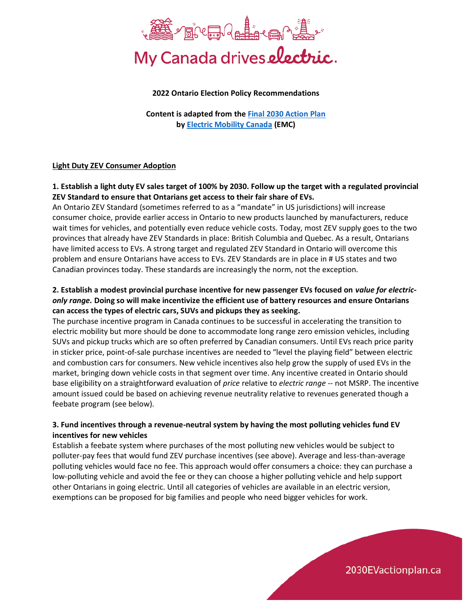

#### **2022 Ontario Election Policy Recommendations**

**Content is adapted from the [Final 2030 Action Plan](https://2030evactionplan.ca/) b[y Electric Mobility Canada](https://emc-mec.ca/) (EMC)**

#### **Light Duty ZEV Consumer Adoption**

## **1. Establish a light duty EV sales target of 100% by 2030. Follow up the target with a regulated provincial ZEV Standard to ensure that Ontarians get access to their fair share of EVs.**

An Ontario ZEV Standard (sometimes referred to as a "mandate" in US jurisdictions) will increase consumer choice, provide earlier access in Ontario to new products launched by manufacturers, reduce wait times for vehicles, and potentially even reduce vehicle costs. Today, most ZEV supply goes to the two provinces that already have ZEV Standards in place: British Columbia and Quebec. As a result, Ontarians have limited access to EVs. A strong target and regulated ZEV Standard in Ontario will overcome this problem and ensure Ontarians have access to EVs. ZEV Standards are in place in # US states and two Canadian provinces today. These standards are increasingly the norm, not the exception.

# **2. Establish a modest provincial purchase incentive for new passenger EVs focused on** *value for electriconly range.* **Doing so will make incentivize the efficient use of battery resources and ensure Ontarians can access the types of electric cars, SUVs and pickups they as seeking.**

The purchase incentive program in Canada continues to be successful in accelerating the transition to electric mobility but more should be done to accommodate long range zero emission vehicles, including SUVs and pickup trucks which are so often preferred by Canadian consumers. Until EVs reach price parity in sticker price, point-of-sale purchase incentives are needed to "level the playing field" between electric and combustion cars for consumers. New vehicle incentives also help grow the supply of used EVs in the market, bringing down vehicle costs in that segment over time. Any incentive created in Ontario should base eligibility on a straightforward evaluation of *price* relative to *electric range* -- not MSRP. The incentive amount issued could be based on achieving revenue neutrality relative to revenues generated though a feebate program (see below).

## **3. Fund incentives through a revenue-neutral system by having the most polluting vehicles fund EV incentives for new vehicles**

Establish a feebate system where purchases of the most polluting new vehicles would be subject to polluter-pay fees that would fund ZEV purchase incentives (see above). Average and less-than-average polluting vehicles would face no fee. This approach would offer consumers a choice: they can purchase a low-polluting vehicle and avoid the fee or they can choose a higher polluting vehicle and help support other Ontarians in going electric. Until all categories of vehicles are available in an electric version, exemptions can be proposed for big families and people who need bigger vehicles for work.

2030EVactionplan.ca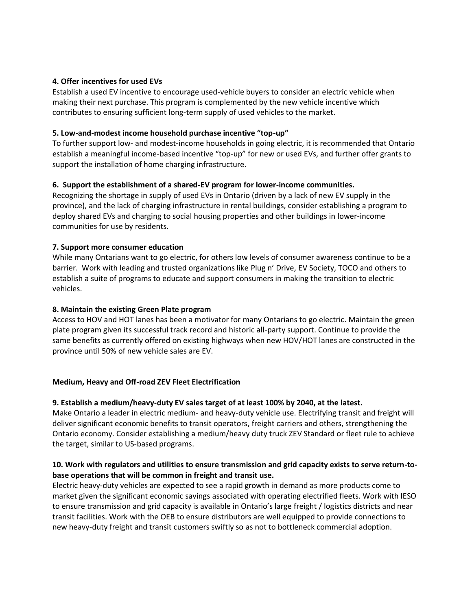#### **4. Offer incentives for used EVs**

Establish a used EV incentive to encourage used-vehicle buyers to consider an electric vehicle when making their next purchase. This program is complemented by the new vehicle incentive which contributes to ensuring sufficient long-term supply of used vehicles to the market.

#### **5. Low-and-modest income household purchase incentive "top-up"**

To further support low- and modest-income households in going electric, it is recommended that Ontario establish a meaningful income-based incentive "top-up" for new or used EVs, and further offer grants to support the installation of home charging infrastructure.

## **6. Support the establishment of a shared-EV program for lower-income communities.**

Recognizing the shortage in supply of used EVs in Ontario (driven by a lack of new EV supply in the province), and the lack of charging infrastructure in rental buildings, consider establishing a program to deploy shared EVs and charging to social housing properties and other buildings in lower-income communities for use by residents.

## **7. Support more consumer education**

While many Ontarians want to go electric, for others low levels of consumer awareness continue to be a barrier. Work with leading and trusted organizations like Plug n' Drive, EV Society, TOCO and others to establish a suite of programs to educate and support consumers in making the transition to electric vehicles.

#### **8. Maintain the existing Green Plate program**

Access to HOV and HOT lanes has been a motivator for many Ontarians to go electric. Maintain the green plate program given its successful track record and historic all-party support. Continue to provide the same benefits as currently offered on existing highways when new HOV/HOT lanes are constructed in the province until 50% of new vehicle sales are EV.

# **Medium, Heavy and Off-road ZEV Fleet Electrification**

#### **9. Establish a medium/heavy-duty EV sales target of at least 100% by 2040, at the latest.**

Make Ontario a leader in electric medium- and heavy-duty vehicle use. Electrifying transit and freight will deliver significant economic benefits to transit operators, freight carriers and others, strengthening the Ontario economy. Consider establishing a medium/heavy duty truck ZEV Standard or fleet rule to achieve the target, similar to US-based programs.

## **10. Work with regulators and utilities to ensure transmission and grid capacity exists to serve return-tobase operations that will be common in freight and transit use.**

Electric heavy-duty vehicles are expected to see a rapid growth in demand as more products come to market given the significant economic savings associated with operating electrified fleets. Work with IESO to ensure transmission and grid capacity is available in Ontario's large freight / logistics districts and near transit facilities. Work with the OEB to ensure distributors are well equipped to provide connections to new heavy-duty freight and transit customers swiftly so as not to bottleneck commercial adoption.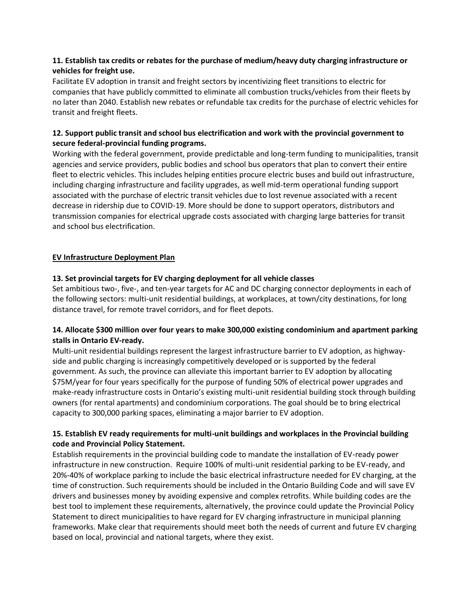## **11. Establish tax credits or rebates for the purchase of medium/heavy duty charging infrastructure or vehicles for freight use.**

Facilitate EV adoption in transit and freight sectors by incentivizing fleet transitions to electric for companies that have publicly committed to eliminate all combustion trucks/vehicles from their fleets by no later than 2040. Establish new rebates or refundable tax credits for the purchase of electric vehicles for transit and freight fleets.

# **12. Support public transit and school bus electrification and work with the provincial government to secure federal-provincial funding programs.**

Working with the federal government, provide predictable and long-term funding to municipalities, transit agencies and service providers, public bodies and school bus operators that plan to convert their entire fleet to electric vehicles. This includes helping entities procure electric buses and build out infrastructure, including charging infrastructure and facility upgrades, as well mid-term operational funding support associated with the purchase of electric transit vehicles due to lost revenue associated with a recent decrease in ridership due to COVID-19. More should be done to support operators, distributors and transmission companies for electrical upgrade costs associated with charging large batteries for transit and school bus electrification.

## **EV Infrastructure Deployment Plan**

## **13. Set provincial targets for EV charging deployment for all vehicle classes**

Set ambitious two-, five-, and ten-year targets for AC and DC charging connector deployments in each of the following sectors: multi-unit residential buildings, at workplaces, at town/city destinations, for long distance travel, for remote travel corridors, and for fleet depots.

## **14. Allocate \$300 million over four years to make 300,000 existing condominium and apartment parking stalls in Ontario EV-ready.**

Multi-unit residential buildings represent the largest infrastructure barrier to EV adoption, as highwayside and public charging is increasingly competitively developed or is supported by the federal government. As such, the province can alleviate this important barrier to EV adoption by allocating \$75M/year for four years specifically for the purpose of funding 50% of electrical power upgrades and make-ready infrastructure costs in Ontario's existing multi-unit residential building stock through building owners (for rental apartments) and condominium corporations. The goal should be to bring electrical capacity to 300,000 parking spaces, eliminating a major barrier to EV adoption.

## **15. Establish EV ready requirements for multi-unit buildings and workplaces in the Provincial building code and Provincial Policy Statement.**

Establish requirements in the provincial building code to mandate the installation of EV-ready power infrastructure in new construction. Require 100% of multi-unit residential parking to be EV-ready, and 20%-40% of workplace parking to include the basic electrical infrastructure needed for EV charging, at the time of construction. Such requirements should be included in the Ontario Building Code and will save EV drivers and businesses money by avoiding expensive and complex retrofits. While building codes are the best tool to implement these requirements, alternatively, the province could update the Provincial Policy Statement to direct municipalities to have regard for EV charging infrastructure in municipal planning frameworks. Make clear that requirements should meet both the needs of current and future EV charging based on local, provincial and national targets, where they exist.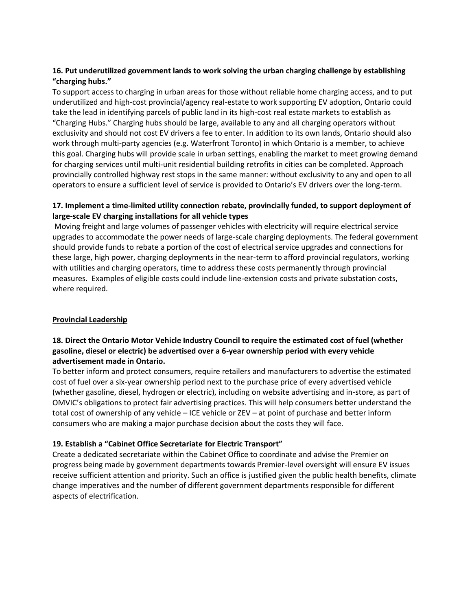# **16. Put underutilized government lands to work solving the urban charging challenge by establishing "charging hubs."**

To support access to charging in urban areas for those without reliable home charging access, and to put underutilized and high-cost provincial/agency real-estate to work supporting EV adoption, Ontario could take the lead in identifying parcels of public land in its high-cost real estate markets to establish as "Charging Hubs." Charging hubs should be large, available to any and all charging operators without exclusivity and should not cost EV drivers a fee to enter. In addition to its own lands, Ontario should also work through multi-party agencies (e.g. Waterfront Toronto) in which Ontario is a member, to achieve this goal. Charging hubs will provide scale in urban settings, enabling the market to meet growing demand for charging services until multi-unit residential building retrofits in cities can be completed. Approach provincially controlled highway rest stops in the same manner: without exclusivity to any and open to all operators to ensure a sufficient level of service is provided to Ontario's EV drivers over the long-term.

# **17. Implement a time-limited utility connection rebate, provincially funded, to support deployment of large-scale EV charging installations for all vehicle types**

Moving freight and large volumes of passenger vehicles with electricity will require electrical service upgrades to accommodate the power needs of large-scale charging deployments. The federal government should provide funds to rebate a portion of the cost of electrical service upgrades and connections for these large, high power, charging deployments in the near-term to afford provincial regulators, working with utilities and charging operators, time to address these costs permanently through provincial measures. Examples of eligible costs could include line-extension costs and private substation costs, where required.

# **Provincial Leadership**

## **18. Direct the Ontario Motor Vehicle Industry Council to require the estimated cost of fuel (whether gasoline, diesel or electric) be advertised over a 6-year ownership period with every vehicle advertisement made in Ontario.**

To better inform and protect consumers, require retailers and manufacturers to advertise the estimated cost of fuel over a six-year ownership period next to the purchase price of every advertised vehicle (whether gasoline, diesel, hydrogen or electric), including on website advertising and in-store, as part of OMVIC's obligations to protect fair advertising practices. This will help consumers better understand the total cost of ownership of any vehicle – ICE vehicle or ZEV – at point of purchase and better inform consumers who are making a major purchase decision about the costs they will face.

# **19. Establish a "Cabinet Office Secretariate for Electric Transport"**

Create a dedicated secretariate within the Cabinet Office to coordinate and advise the Premier on progress being made by government departments towards Premier-level oversight will ensure EV issues receive sufficient attention and priority. Such an office is justified given the public health benefits, climate change imperatives and the number of different government departments responsible for different aspects of electrification.